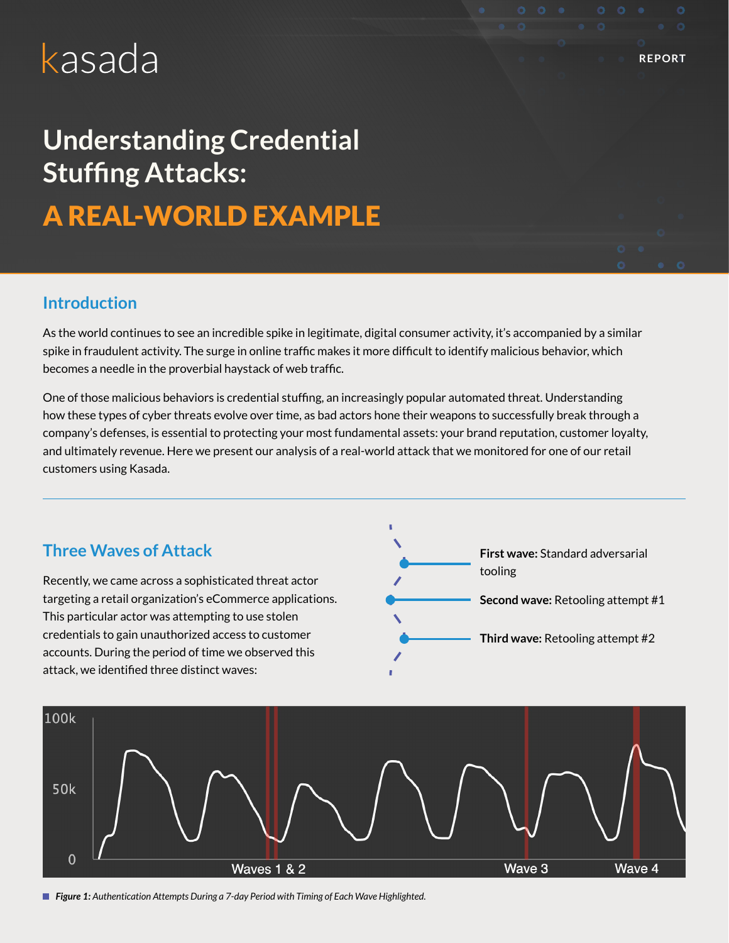# kasada

## **Understanding Credential Stuffing Attacks:**

A REAL-WORLD EXAMPLE

## **Introduction**

As the world continues to see an incredible spike in legitimate, digital consumer activity, it's accompanied by a similar spike in fraudulent activity. The surge in online traffic makes it more difficult to identify malicious behavior, which becomes a needle in the proverbial haystack of web traffic.

One of those malicious behaviors is credential stuffing, an increasingly popular automated threat. Understanding how these types of cyber threats evolve over time, as bad actors hone their weapons to successfully break through a company's defenses, is essential to protecting your most fundamental assets: your brand reputation, customer loyalty, and ultimately revenue. Here we present our analysis of a real-world attack that we monitored for one of our retail customers using Kasada.





*Figure 1: Authentication Attempts During a 7-day Period with Timing of Each Wave Highlighted.*

**REPORT**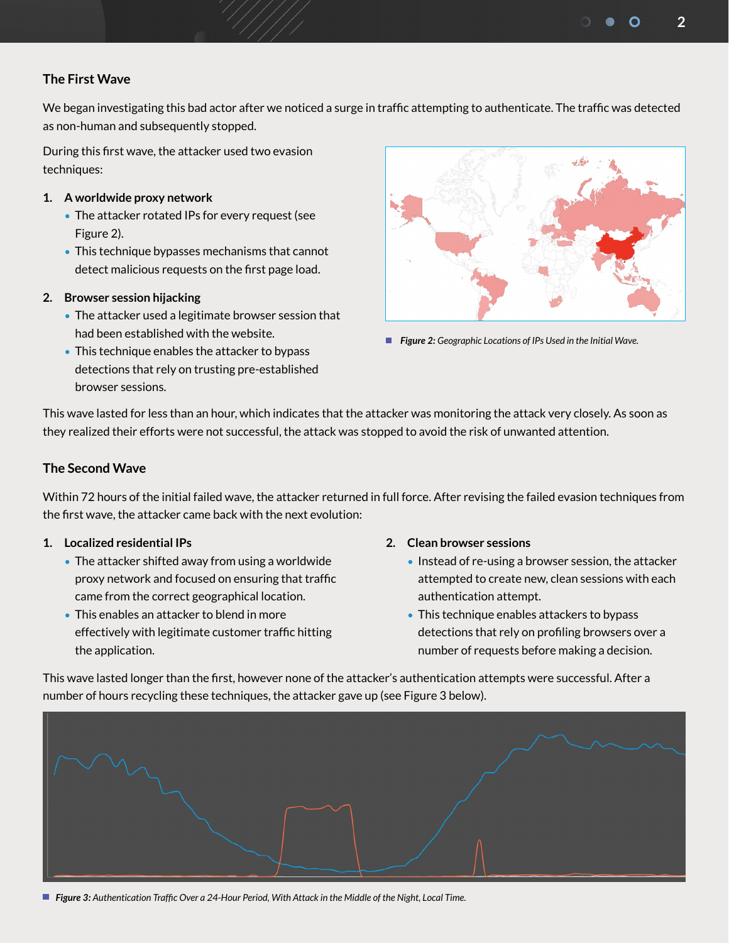**2**

## **The First Wave**

We began investigating this bad actor after we noticed a surge in traffic attempting to authenticate. The traffic was detected as non-human and subsequently stopped.

During this first wave, the attacker used two evasion techniques:

## **1. A worldwide proxy network**

- The attacker rotated IPs for every request (see Figure 2).
- This technique bypasses mechanisms that cannot detect malicious requests on the first page load.

#### **2. Browser session hijacking**

- The attacker used a legitimate browser session that had been established with the website.
- This technique enables the attacker to bypass detections that rely on trusting pre-established browser sessions.



 *Figure 2: Geographic Locations of IPs Used in the Initial Wave.*

This wave lasted for less than an hour, which indicates that the attacker was monitoring the attack very closely. As soon as they realized their efforts were not successful, the attack was stopped to avoid the risk of unwanted attention.

## **The Second Wave**

Within 72 hours of the initial failed wave, the attacker returned in full force. After revising the failed evasion techniques from the first wave, the attacker came back with the next evolution:

#### **1. Localized residential IPs**

- The attacker shifted away from using a worldwide proxy network and focused on ensuring that traffic came from the correct geographical location.
- This enables an attacker to blend in more effectively with legitimate customer traffic hitting the application.

#### **2. Clean browser sessions**

- Instead of re-using a browser session, the attacker attempted to create new, clean sessions with each authentication attempt.
- This technique enables attackers to bypass detections that rely on profiling browsers over a number of requests before making a decision.

This wave lasted longer than the first, however none of the attacker's authentication attempts were successful. After a number of hours recycling these techniques, the attacker gave up (see Figure 3 below).



*Figure 3: Authentication Traffic Over a 24-Hour Period, With Attack in the Middle of the Night, Local Time.*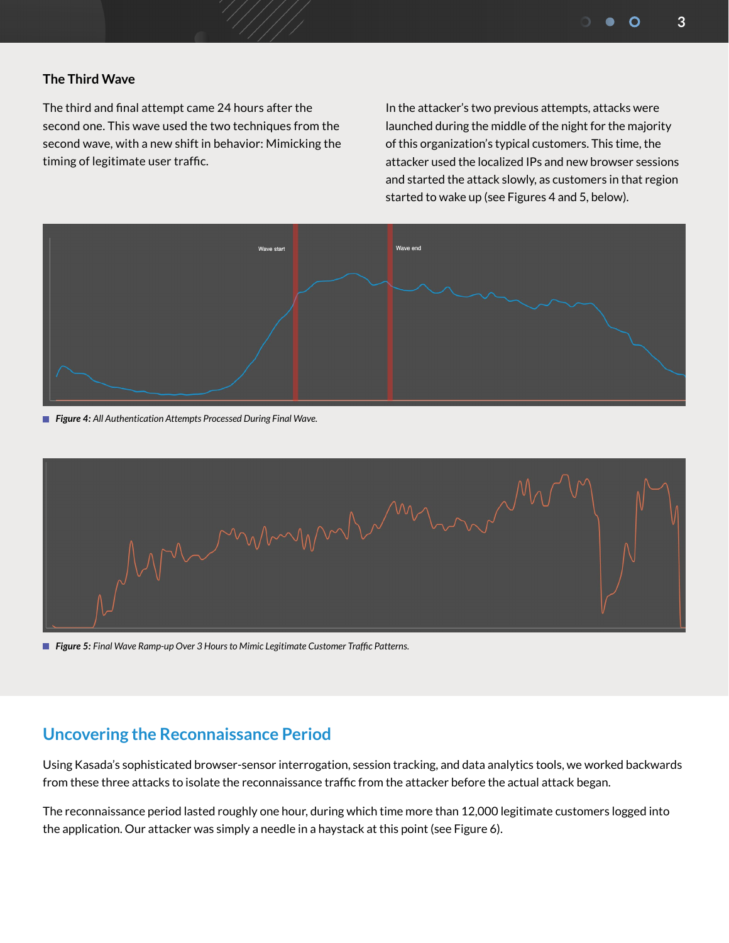## **The Third Wave**

The third and final attempt came 24 hours after the second one. This wave used the two techniques from the second wave, with a new shift in behavior: Mimicking the timing of legitimate user traffic.

In the attacker's two previous attempts, attacks were launched during the middle of the night for the majority of this organization's typical customers. This time, the attacker used the localized IPs and new browser sessions and started the attack slowly, as customers in that region started to wake up (see Figures 4 and 5, below).



*Figure 4: All Authentication Attempts Processed During Final Wave.*



*Figure 5: Final Wave Ramp-up Over 3 Hours to Mimic Legitimate Customer Traffic Patterns.*

## **Uncovering the Reconnaissance Period**

Using Kasada's sophisticated browser-sensor interrogation, session tracking, and data analytics tools, we worked backwards from these three attacks to isolate the reconnaissance traffic from the attacker before the actual attack began.

The reconnaissance period lasted roughly one hour, during which time more than 12,000 legitimate customers logged into the application. Our attacker was simply a needle in a haystack at this point (see Figure 6).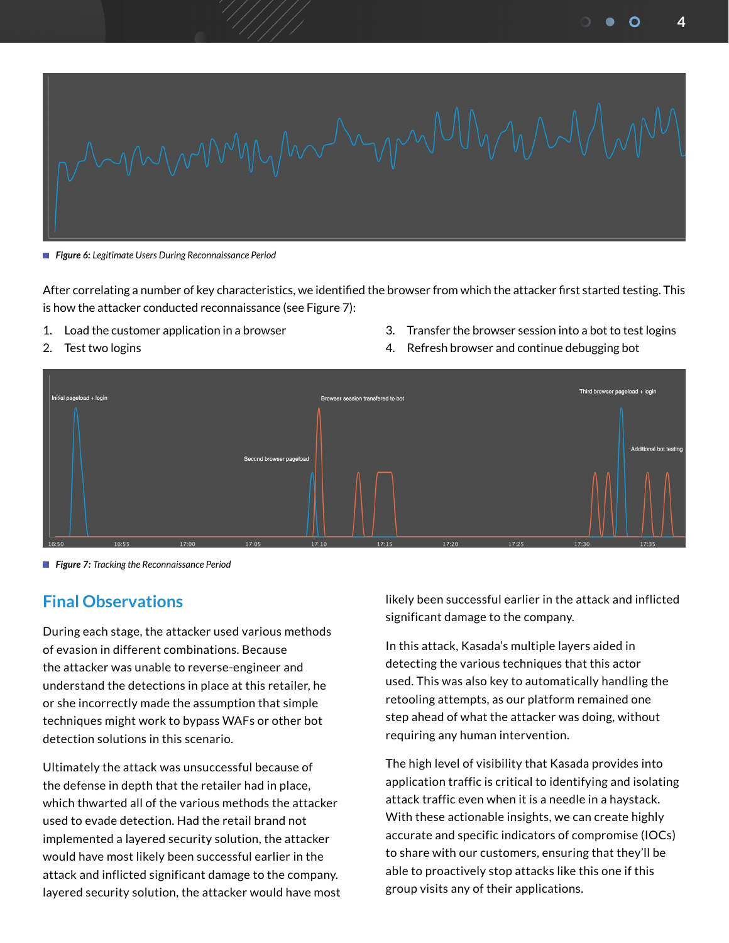**4**



*Figure 6: Legitimate Users During Reconnaissance Period*

After correlating a number of key characteristics, we identified the browser from which the attacker first started testing. This is how the attacker conducted reconnaissance (see Figure 7):

- 1. Load the customer application in a browser
- 2. Test two logins
- 3. Transfer the browser session into a bot to test logins
- 4. Refresh browser and continue debugging bot



*Figure 7: Tracking the Reconnaissance Period* 

## **Final Observations**

During each stage, the attacker used various methods of evasion in different combinations. Because the attacker was unable to reverse-engineer and understand the detections in place at this retailer, he or she incorrectly made the assumption that simple techniques might work to bypass WAFs or other bot detection solutions in this scenario.

Ultimately the attack was unsuccessful because of the defense in depth that the retailer had in place, which thwarted all of the various methods the attacker used to evade detection. Had the retail brand not implemented a layered security solution, the attacker would have most likely been successful earlier in the attack and inflicted significant damage to the company. layered security solution, the attacker would have most likely been successful earlier in the attack and inflicted significant damage to the company.

In this attack, Kasada's multiple layers aided in detecting the various techniques that this actor used. This was also key to automatically handling the retooling attempts, as our platform remained one step ahead of what the attacker was doing, without requiring any human intervention.

The high level of visibility that Kasada provides into application traffic is critical to identifying and isolating attack traffic even when it is a needle in a haystack. With these actionable insights, we can create highly accurate and specific indicators of compromise (IOCs) to share with our customers, ensuring that they'll be able to proactively stop attacks like this one if this group visits any of their applications.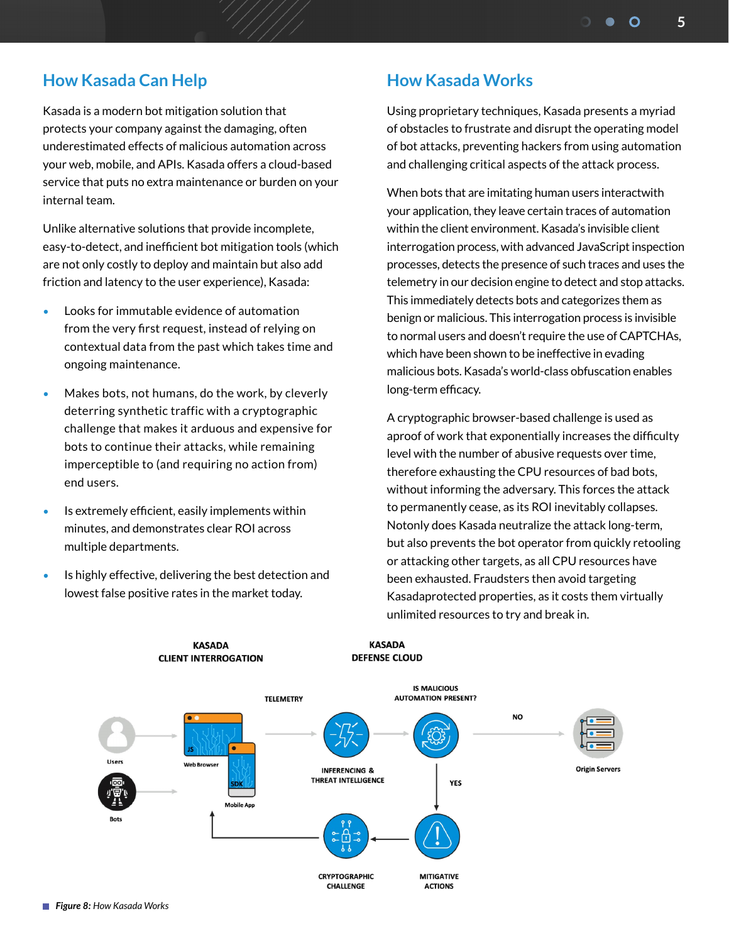## **How Kasada Can Help**

Kasada is a modern bot mitigation solution that protects your company against the damaging, often underestimated effects of malicious automation across your web, mobile, and APIs. Kasada offers a cloud-based service that puts no extra maintenance or burden on your internal team.

Unlike alternative solutions that provide incomplete, easy-to-detect, and inefficient bot mitigation tools (which are not only costly to deploy and maintain but also add friction and latency to the user experience), Kasada:

- Looks for immutable evidence of automation from the very first request, instead of relying on contextual data from the past which takes time and ongoing maintenance.
- Makes bots, not humans, do the work, by cleverly deterring synthetic traffic with a cryptographic challenge that makes it arduous and expensive for bots to continue their attacks, while remaining imperceptible to (and requiring no action from) end users.
- Is extremely efficient, easily implements within minutes, and demonstrates clear ROI across multiple departments.
- Is highly effective, delivering the best detection and lowest false positive rates in the market today.

**KASADA** 

**CLIENT INTERROGATION** 

## **How Kasada Works**

Using proprietary techniques, Kasada presents a myriad of obstacles to frustrate and disrupt the operating model of bot attacks, preventing hackers from using automation and challenging critical aspects of the attack process.

When bots that are imitating human users interactwith your application, they leave certain traces of automation within the client environment. Kasada's invisible client interrogation process, with advanced JavaScript inspection processes, detects the presence of such traces and uses the telemetry in our decision engine to detect and stop attacks. This immediately detects bots and categorizes them as benign or malicious. This interrogation process is invisible to normal users and doesn't require the use of CAPTCHAs, which have been shown to be ineffective in evading malicious bots. Kasada's world-class obfuscation enables long-term efficacy.

A cryptographic browser-based challenge is used as aproof of work that exponentially increases the difficulty level with the number of abusive requests over time, therefore exhausting the CPU resources of bad bots, without informing the adversary. This forces the attack to permanently cease, as its ROI inevitably collapses. Notonly does Kasada neutralize the attack long-term, but also prevents the bot operator from quickly retooling or attacking other targets, as all CPU resources have been exhausted. Fraudsters then avoid targeting Kasadaprotected properties, as it costs them virtually unlimited resources to try and break in.



**KASADA** 

**DEFENSE CLOUD**